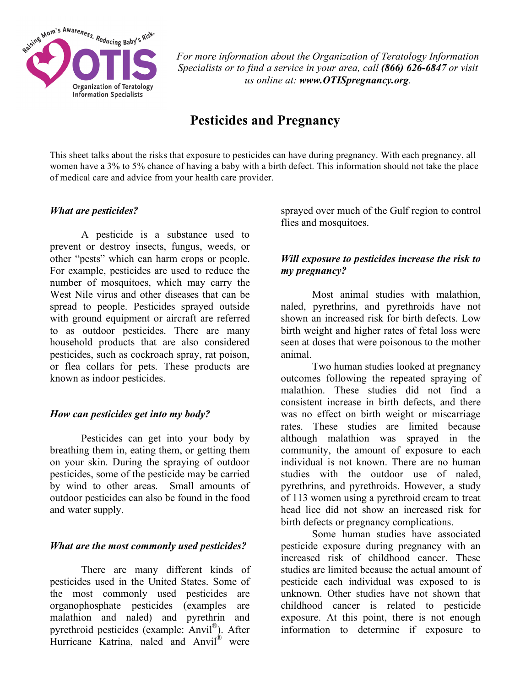

*For more information about the Organization of Teratology Information Specialists or to find a service in your area, call (866) 626-6847 or visit us online at: www.OTISpregnancy.org.*

# **Pesticides and Pregnancy**

This sheet talks about the risks that exposure to pesticides can have during pregnancy. With each pregnancy, all women have a 3% to 5% chance of having a baby with a birth defect. This information should not take the place of medical care and advice from your health care provider.

### *What are pesticides?*

A pesticide is a substance used to prevent or destroy insects, fungus, weeds, or other "pests" which can harm crops or people. For example, pesticides are used to reduce the number of mosquitoes, which may carry the West Nile virus and other diseases that can be spread to people. Pesticides sprayed outside with ground equipment or aircraft are referred to as outdoor pesticides. There are many household products that are also considered pesticides, such as cockroach spray, rat poison, or flea collars for pets. These products are known as indoor pesticides.

### *How can pesticides get into my body?*

Pesticides can get into your body by breathing them in, eating them, or getting them on your skin. During the spraying of outdoor pesticides, some of the pesticide may be carried by wind to other areas. Small amounts of outdoor pesticides can also be found in the food and water supply.

### *What are the most commonly used pesticides?*

There are many different kinds of pesticides used in the United States. Some of the most commonly used pesticides are organophosphate pesticides (examples are malathion and naled) and pyrethrin and pyrethroid pesticides (example: Anvil®). After Hurricane Katrina, naled and Anvil® were

sprayed over much of the Gulf region to control flies and mosquitoes.

# *Will exposure to pesticides increase the risk to my pregnancy?*

Most animal studies with malathion, naled, pyrethrins, and pyrethroids have not shown an increased risk for birth defects. Low birth weight and higher rates of fetal loss were seen at doses that were poisonous to the mother animal.

Two human studies looked at pregnancy outcomes following the repeated spraying of malathion. These studies did not find a consistent increase in birth defects, and there was no effect on birth weight or miscarriage rates. These studies are limited because although malathion was sprayed in the community, the amount of exposure to each individual is not known. There are no human studies with the outdoor use of naled, pyrethrins, and pyrethroids. However, a study of 113 women using a pyrethroid cream to treat head lice did not show an increased risk for birth defects or pregnancy complications.

Some human studies have associated pesticide exposure during pregnancy with an increased risk of childhood cancer. These studies are limited because the actual amount of pesticide each individual was exposed to is unknown. Other studies have not shown that childhood cancer is related to pesticide exposure. At this point, there is not enough information to determine if exposure to